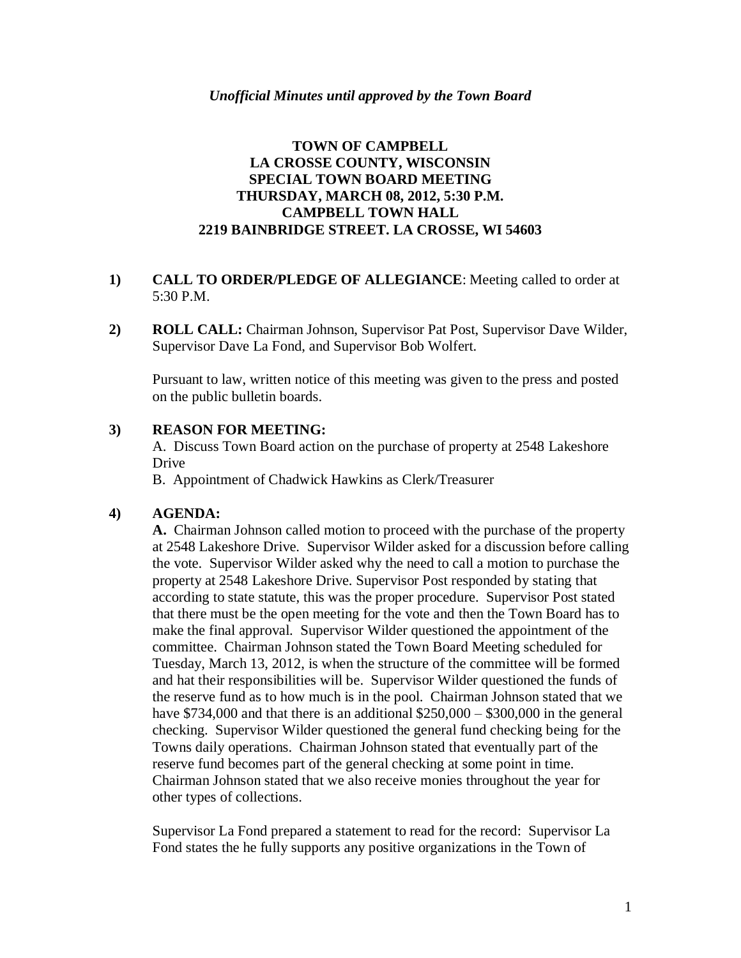## **TOWN OF CAMPBELL LA CROSSE COUNTY, WISCONSIN SPECIAL TOWN BOARD MEETING THURSDAY, MARCH 08, 2012, 5:30 P.M. CAMPBELL TOWN HALL 2219 BAINBRIDGE STREET. LA CROSSE, WI 54603**

## **1) CALL TO ORDER/PLEDGE OF ALLEGIANCE**: Meeting called to order at 5:30 P.M.

**2) ROLL CALL:** Chairman Johnson, Supervisor Pat Post, Supervisor Dave Wilder, Supervisor Dave La Fond, and Supervisor Bob Wolfert.

Pursuant to law, written notice of this meeting was given to the press and posted on the public bulletin boards.

## **3) REASON FOR MEETING:**

A. Discuss Town Board action on the purchase of property at 2548 Lakeshore Drive

B. Appointment of Chadwick Hawkins as Clerk/Treasurer

#### **4) AGENDA:**

**A.** Chairman Johnson called motion to proceed with the purchase of the property at 2548 Lakeshore Drive. Supervisor Wilder asked for a discussion before calling the vote. Supervisor Wilder asked why the need to call a motion to purchase the property at 2548 Lakeshore Drive. Supervisor Post responded by stating that according to state statute, this was the proper procedure. Supervisor Post stated that there must be the open meeting for the vote and then the Town Board has to make the final approval. Supervisor Wilder questioned the appointment of the committee. Chairman Johnson stated the Town Board Meeting scheduled for Tuesday, March 13, 2012, is when the structure of the committee will be formed and hat their responsibilities will be. Supervisor Wilder questioned the funds of the reserve fund as to how much is in the pool. Chairman Johnson stated that we have \$734,000 and that there is an additional \$250,000 – \$300,000 in the general checking. Supervisor Wilder questioned the general fund checking being for the Towns daily operations. Chairman Johnson stated that eventually part of the reserve fund becomes part of the general checking at some point in time. Chairman Johnson stated that we also receive monies throughout the year for other types of collections.

Supervisor La Fond prepared a statement to read for the record: Supervisor La Fond states the he fully supports any positive organizations in the Town of